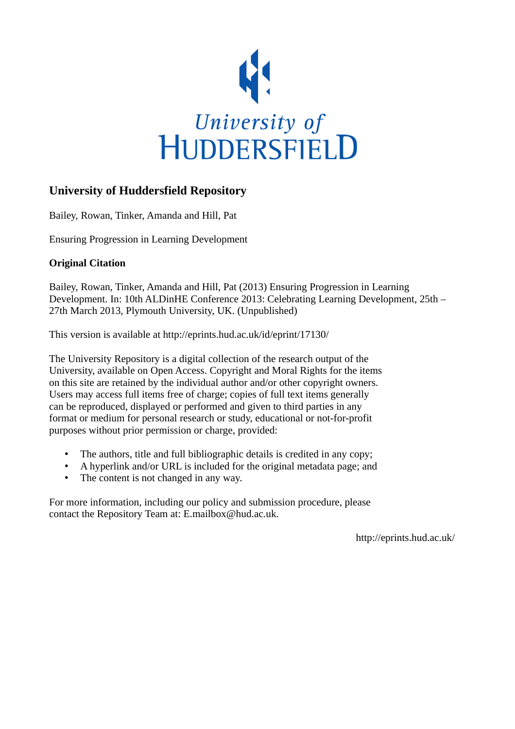

## **University of Huddersfield Repository**

Bailey, Rowan, Tinker, Amanda and Hill, Pat

Ensuring Progression in Learning Development

## **Original Citation**

Bailey, Rowan, Tinker, Amanda and Hill, Pat (2013) Ensuring Progression in Learning Development. In: 10th ALDinHE Conference 2013: Celebrating Learning Development, 25th – 27th March 2013, Plymouth University, UK. (Unpublished)

This version is available at http://eprints.hud.ac.uk/id/eprint/17130/

The University Repository is a digital collection of the research output of the University, available on Open Access. Copyright and Moral Rights for the items on this site are retained by the individual author and/or other copyright owners. Users may access full items free of charge; copies of full text items generally can be reproduced, displayed or performed and given to third parties in any format or medium for personal research or study, educational or not-for-profit purposes without prior permission or charge, provided:

- The authors, title and full bibliographic details is credited in any copy;
- A hyperlink and/or URL is included for the original metadata page; and
- The content is not changed in any way.

For more information, including our policy and submission procedure, please contact the Repository Team at: E.mailbox@hud.ac.uk.

http://eprints.hud.ac.uk/